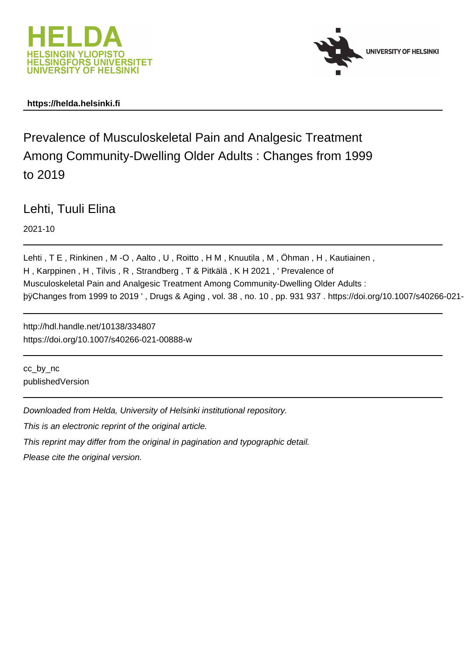



# **https://helda.helsinki.fi**

Prevalence of Musculoskeletal Pain and Analgesic Treatment Among Community-Dwelling Older Adults : Changes from 1999 to 2019

Lehti, Tuuli Elina

2021-10

Lehti, T E, Rinkinen, M -O, Aalto, U, Roitto, H M, Knuutila, M, Öhman, H, Kautiainen, H , Karppinen , H , Tilvis , R , Strandberg , T & Pitkälä , K H 2021 , ' Prevalence of Musculoskeletal Pain and Analgesic Treatment Among Community-Dwelling Older Adults : þÿChanges from 1999 to 2019 ', Drugs & Aging , vol. 38 , no. 10 , pp. 9

http://hdl.handle.net/10138/334807 https://doi.org/10.1007/s40266-021-00888-w

cc\_by\_nc publishedVersion

Downloaded from Helda, University of Helsinki institutional repository.

This is an electronic reprint of the original article.

This reprint may differ from the original in pagination and typographic detail.

Please cite the original version.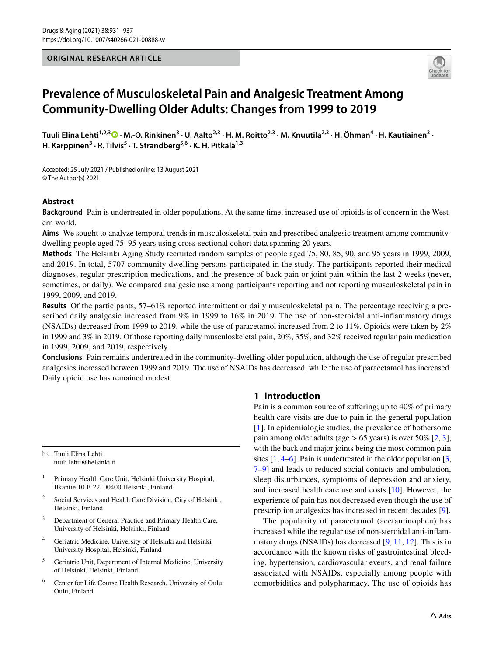## **ORIGINAL RESEARCH ARTICLE**



# **Prevalence of Musculoskeletal Pain and Analgesic Treatment Among Community‑Dwelling Older Adults: Changes from 1999 to 2019**

**Tuuli Elina Lehti1,2,3  [·](http://orcid.org/0000-0002-1861-8576) M.‑O. Rinkinen3 · U. Aalto2,3 · H. M. Roitto2,3 · M. Knuutila2,3 · H. Öhman4 · H. Kautiainen3 · H. Karppinen<sup>3</sup> · R. Tilvis<sup>5</sup> · T. Strandberg5,6 · K. H. Pitkälä1,3**

Accepted: 25 July 2021 / Published online: 13 August 2021 © The Author(s) 2021

## **Abstract**

**Background** Pain is undertreated in older populations. At the same time, increased use of opioids is of concern in the Western world.

**Aims** We sought to analyze temporal trends in musculoskeletal pain and prescribed analgesic treatment among communitydwelling people aged 75–95 years using cross-sectional cohort data spanning 20 years.

**Methods** The Helsinki Aging Study recruited random samples of people aged 75, 80, 85, 90, and 95 years in 1999, 2009, and 2019. In total, 5707 community-dwelling persons participated in the study. The participants reported their medical diagnoses, regular prescription medications, and the presence of back pain or joint pain within the last 2 weeks (never, sometimes, or daily). We compared analgesic use among participants reporting and not reporting musculoskeletal pain in 1999, 2009, and 2019.

**Results** Of the participants, 57–61% reported intermittent or daily musculoskeletal pain. The percentage receiving a prescribed daily analgesic increased from 9% in 1999 to 16% in 2019. The use of non-steroidal anti-infammatory drugs (NSAIDs) decreased from 1999 to 2019, while the use of paracetamol increased from 2 to 11%. Opioids were taken by 2% in 1999 and 3% in 2019. Of those reporting daily musculoskeletal pain, 20%, 35%, and 32% received regular pain medication in 1999, 2009, and 2019, respectively.

**Conclusions** Pain remains undertreated in the community-dwelling older population, although the use of regular prescribed analgesics increased between 1999 and 2019. The use of NSAIDs has decreased, while the use of paracetamol has increased. Daily opioid use has remained modest.

 $\boxtimes$  Tuuli Elina Lehti tuuli.lehti@helsinki.f

- <sup>1</sup> Primary Health Care Unit, Helsinki University Hospital, Ilkantie 10 B 22, 00400 Helsinki, Finland
- <sup>2</sup> Social Services and Health Care Division, City of Helsinki, Helsinki, Finland
- <sup>3</sup> Department of General Practice and Primary Health Care, University of Helsinki, Helsinki, Finland
- <sup>4</sup> Geriatric Medicine, University of Helsinki and Helsinki University Hospital, Helsinki, Finland
- <sup>5</sup> Geriatric Unit, Department of Internal Medicine, University of Helsinki, Helsinki, Finland
- <sup>6</sup> Center for Life Course Health Research, University of Oulu, Oulu, Finland

# **1 Introduction**

Pain is a common source of suffering; up to 40% of primary health care visits are due to pain in the general population [1]. In epidemiologic studies, the prevalence of bothersome pain among older adults (age  $> 65$  years) is over 50% [2, 3], with the back and major joints being the most common pain sites [1, 4–6]. Pain is undertreated in the older population [3, 7–9] and leads to reduced social contacts and ambulation, sleep disturbances, symptoms of depression and anxiety, and increased health care use and costs [10]. However, the experience of pain has not decreased even though the use of prescription analgesics has increased in recent decades [9].

The popularity of paracetamol (acetaminophen) has increased while the regular use of non-steroidal anti-infammatory drugs (NSAIDs) has decreased [9, 11, 12]. This is in accordance with the known risks of gastrointestinal bleeding, hypertension, cardiovascular events, and renal failure associated with NSAIDs, especially among people with comorbidities and polypharmacy. The use of opioids has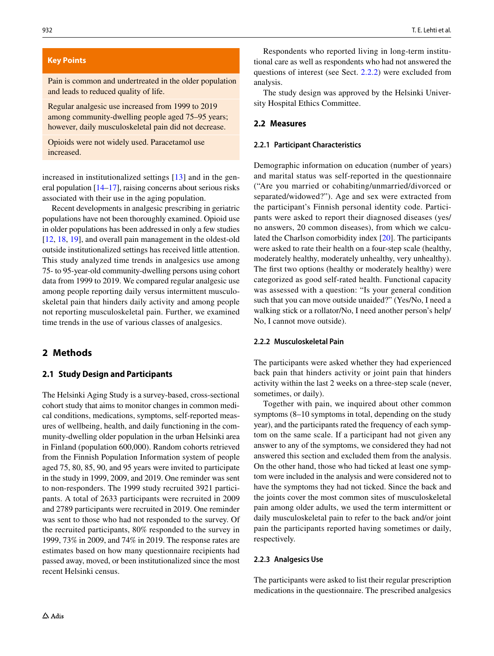#### **Key Points**

Pain is common and undertreated in the older population and leads to reduced quality of life.

Regular analgesic use increased from 1999 to 2019 among community-dwelling people aged 75–95 years; however, daily musculoskeletal pain did not decrease.

Opioids were not widely used. Paracetamol use increased.

increased in institutionalized settings [13] and in the general population [14–17], raising concerns about serious risks associated with their use in the aging population.

Recent developments in analgesic prescribing in geriatric populations have not been thoroughly examined. Opioid use in older populations has been addressed in only a few studies [12, 18, 19], and overall pain management in the oldest-old outside institutionalized settings has received little attention. This study analyzed time trends in analgesics use among 75- to 95-year-old community-dwelling persons using cohort data from 1999 to 2019. We compared regular analgesic use among people reporting daily versus intermittent musculoskeletal pain that hinders daily activity and among people not reporting musculoskeletal pain. Further, we examined time trends in the use of various classes of analgesics.

# **2 Methods**

#### **2.1 Study Design and Participants**

The Helsinki Aging Study is a survey-based, cross-sectional cohort study that aims to monitor changes in common medical conditions, medications, symptoms, self-reported measures of wellbeing, health, and daily functioning in the community-dwelling older population in the urban Helsinki area in Finland (population 600,000). Random cohorts retrieved from the Finnish Population Information system of people aged 75, 80, 85, 90, and 95 years were invited to participate in the study in 1999, 2009, and 2019. One reminder was sent to non-responders. The 1999 study recruited 3921 participants. A total of 2633 participants were recruited in 2009 and 2789 participants were recruited in 2019. One reminder was sent to those who had not responded to the survey. Of the recruited participants, 80% responded to the survey in 1999, 73% in 2009, and 74% in 2019. The response rates are estimates based on how many questionnaire recipients had passed away, moved, or been institutionalized since the most recent Helsinki census.

Respondents who reported living in long-term institutional care as well as respondents who had not answered the questions of interest (see Sect. 2.2.2) were excluded from analysis.

The study design was approved by the Helsinki University Hospital Ethics Committee.

#### **2.2 Measures**

#### **2.2.1 Participant Characteristics**

Demographic information on education (number of years) and marital status was self-reported in the questionnaire ("Are you married or cohabiting/unmarried/divorced or separated/widowed?"). Age and sex were extracted from the participant's Finnish personal identity code. Participants were asked to report their diagnosed diseases (yes/ no answers, 20 common diseases), from which we calculated the Charlson comorbidity index [20]. The participants were asked to rate their health on a four-step scale (healthy, moderately healthy, moderately unhealthy, very unhealthy). The frst two options (healthy or moderately healthy) were categorized as good self-rated health. Functional capacity was assessed with a question: "Is your general condition such that you can move outside unaided?" (Yes/No, I need a walking stick or a rollator/No, I need another person's help/ No, I cannot move outside).

#### **2.2.2 Musculoskeletal Pain**

The participants were asked whether they had experienced back pain that hinders activity or joint pain that hinders activity within the last 2 weeks on a three-step scale (never, sometimes, or daily).

Together with pain, we inquired about other common symptoms (8–10 symptoms in total, depending on the study year), and the participants rated the frequency of each symptom on the same scale. If a participant had not given any answer to any of the symptoms, we considered they had not answered this section and excluded them from the analysis. On the other hand, those who had ticked at least one symptom were included in the analysis and were considered not to have the symptoms they had not ticked. Since the back and the joints cover the most common sites of musculoskeletal pain among older adults, we used the term intermittent or daily musculoskeletal pain to refer to the back and/or joint pain the participants reported having sometimes or daily, respectively.

#### **2.2.3 Analgesics Use**

The participants were asked to list their regular prescription medications in the questionnaire. The prescribed analgesics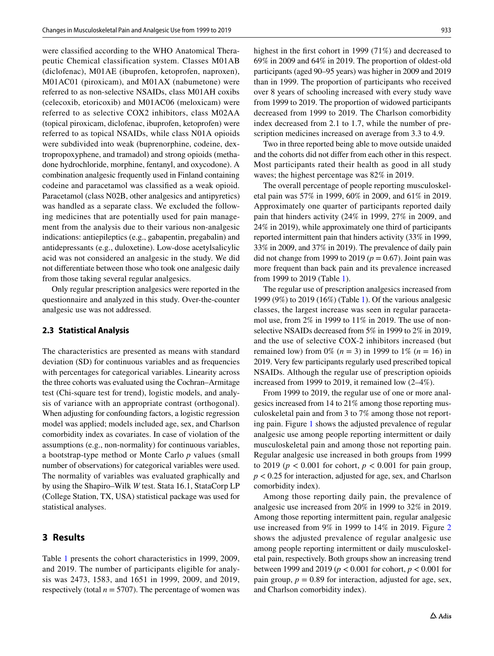were classifed according to the WHO Anatomical Therapeutic Chemical classification system. Classes M01AB (diclofenac), M01AE (ibuprofen, ketoprofen, naproxen), M01AC01 (piroxicam), and M01AX (nabumetone) were referred to as non-selective NSAIDs, class M01AH coxibs (celecoxib, etoricoxib) and M01AC06 (meloxicam) were referred to as selective COX2 inhibitors, class M02AA (topical piroxicam, diclofenac, ibuprofen, ketoprofen) were referred to as topical NSAIDs, while class N01A opioids were subdivided into weak (buprenorphine, codeine, dextropropoxyphene, and tramadol) and strong opioids (methadone hydrochloride, morphine, fentanyl, and oxycodone). A combination analgesic frequently used in Finland containing codeine and paracetamol was classifed as a weak opioid. Paracetamol (class N02B, other analgesics and antipyretics) was handled as a separate class. We excluded the following medicines that are potentially used for pain management from the analysis due to their various non-analgesic indications: antiepileptics (e.g., gabapentin, pregabalin) and antidepressants (e.g., duloxetine). Low-dose acetylsalicylic acid was not considered an analgesic in the study. We did not diferentiate between those who took one analgesic daily from those taking several regular analgesics.

Only regular prescription analgesics were reported in the questionnaire and analyzed in this study. Over-the-counter analgesic use was not addressed.

#### **2.3 Statistical Analysis**

The characteristics are presented as means with standard deviation (SD) for continuous variables and as frequencies with percentages for categorical variables. Linearity across the three cohorts was evaluated using the Cochran–Armitage test (Chi-square test for trend), logistic models, and analysis of variance with an appropriate contrast (orthogonal). When adjusting for confounding factors, a logistic regression model was applied; models included age, sex, and Charlson comorbidity index as covariates. In case of violation of the assumptions (e.g., non-normality) for continuous variables, a bootstrap-type method or Monte Carlo *p* values (small number of observations) for categorical variables were used. The normality of variables was evaluated graphically and by using the Shapiro–Wilk *W* test. Stata 16.1, StataCorp LP (College Station, TX, USA) statistical package was used for statistical analyses.

# **3 Results**

Table 1 presents the cohort characteristics in 1999, 2009, and 2019. The number of participants eligible for analysis was 2473, 1583, and 1651 in 1999, 2009, and 2019, respectively (total  $n = 5707$ ). The percentage of women was

highest in the frst cohort in 1999 (71%) and decreased to 69% in 2009 and 64% in 2019. The proportion of oldest-old participants (aged 90–95 years) was higher in 2009 and 2019 than in 1999. The proportion of participants who received over 8 years of schooling increased with every study wave from 1999 to 2019. The proportion of widowed participants decreased from 1999 to 2019. The Charlson comorbidity index decreased from 2.1 to 1.7, while the number of prescription medicines increased on average from 3.3 to 4.9.

Two in three reported being able to move outside unaided and the cohorts did not difer from each other in this respect. Most participants rated their health as good in all study waves; the highest percentage was 82% in 2019.

The overall percentage of people reporting musculoskeletal pain was 57% in 1999, 60% in 2009, and 61% in 2019. Approximately one quarter of participants reported daily pain that hinders activity (24% in 1999, 27% in 2009, and 24% in 2019), while approximately one third of participants reported intermittent pain that hinders activity (33% in 1999, 33% in 2009, and 37% in 2019). The prevalence of daily pain did not change from 1999 to 2019 ( $p = 0.67$ ). Joint pain was more frequent than back pain and its prevalence increased from 1999 to 2019 (Table 1).

The regular use of prescription analgesics increased from 1999 (9%) to 2019 (16%) (Table 1). Of the various analgesic classes, the largest increase was seen in regular paracetamol use, from 2% in 1999 to 11% in 2019. The use of nonselective NSAIDs decreased from 5% in 1999 to 2% in 2019, and the use of selective COX-2 inhibitors increased (but remained low) from 0% ( $n = 3$ ) in 1999 to 1% ( $n = 16$ ) in 2019. Very few participants regularly used prescribed topical NSAIDs. Although the regular use of prescription opioids increased from 1999 to 2019, it remained low (2–4%).

From 1999 to 2019, the regular use of one or more analgesics increased from 14 to 21% among those reporting musculoskeletal pain and from 3 to 7% among those not reporting pain. Figure 1 shows the adjusted prevalence of regular analgesic use among people reporting intermittent or daily musculoskeletal pain and among those not reporting pain. Regular analgesic use increased in both groups from 1999 to 2019 ( $p < 0.001$  for cohort,  $p < 0.001$  for pain group, *p* < 0.25 for interaction, adjusted for age, sex, and Charlson comorbidity index).

Among those reporting daily pain, the prevalence of analgesic use increased from 20% in 1999 to 32% in 2019. Among those reporting intermittent pain, regular analgesic use increased from 9% in 1999 to 14% in 2019. Figure 2 shows the adjusted prevalence of regular analgesic use among people reporting intermittent or daily musculoskeletal pain, respectively. Both groups show an increasing trend between 1999 and 2019 (*p* < 0.001 for cohort, *p* < 0.001 for pain group,  $p = 0.89$  for interaction, adjusted for age, sex, and Charlson comorbidity index).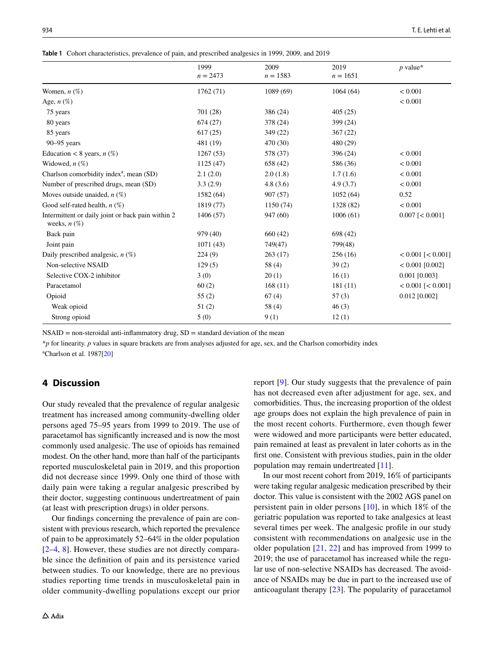**Table 1** Cohort characteristics, prevalence of pain, and prescribed analgesics in 1999, 2009, and 2019

|                                                                     | 1999<br>$n = 2473$ | 2009<br>$n = 1583$ | 2019<br>$n = 1651$ | $p$ value*              |
|---------------------------------------------------------------------|--------------------|--------------------|--------------------|-------------------------|
|                                                                     |                    |                    |                    |                         |
| Women, $n(\%)$                                                      | 1762(71)           | 1089(69)           | 1064(64)           | < 0.001                 |
| Age, $n(\%)$                                                        |                    |                    |                    | < 0.001                 |
| 75 years                                                            | 701 (28)           | 386 (24)           | 405(25)            |                         |
| 80 years                                                            | 674(27)            | 378 (24)           | 399 (24)           |                         |
| 85 years                                                            | 617(25)            | 349 (22)           | 367 (22)           |                         |
| $90 - 95$ years                                                     | 481 (19)           | 470 (30)           | 480 (29)           |                         |
| Education < 8 years, $n$ (%)                                        | 1267(53)           | 578 (37)           | 396 (24)           | < 0.001                 |
| Widowed, $n$ $(\%)$                                                 | 1125(47)           | 658 (42)           | 586 (36)           | ${}_{< 0.001}$          |
| Charlson comorbidity index <sup>a</sup> , mean (SD)                 | 2.1(2.0)           | 2.0(1.8)           | 1.7(1.6)           | < 0.001                 |
| Number of prescribed drugs, mean (SD)                               | 3.3(2.9)           | 4.8(3.6)           | 4.9(3.7)           | < 0.001                 |
| Moves outside unaided, $n$ (%)                                      | 1582 (64)          | 907(57)            | 1052(64)           | 0.52                    |
| Good self-rated health, $n(\%)$                                     | 1819 (77)          | 1150(74)           | 1328 (82)          | < 0.001                 |
| Intermittent or daily joint or back pain within 2<br>weeks, $n(\%)$ | 1406 (57)          | 947 (60)           | 1006(61)           | $0.007$ [ $< 0.001$ ]   |
| Back pain                                                           | 979 (40)           | 660 (42)           | 698 (42)           |                         |
| Joint pain                                                          | 1071(43)           | 749(47)            | 799(48)            |                         |
| Daily prescribed analgesic, $n$ (%)                                 | 224(9)             | 263(17)            | 256(16)            | $< 0.001$ [ $< 0.001$ ] |
| Non-selective NSAID                                                 | 129(5)             | 58 (4)             | 39(2)              | $< 0.001$ [0.002]       |
| Selective COX-2 inhibitor                                           | 3(0)               | 20(1)              | 16(1)              | $0.001$ [0.003]         |
| Paracetamol                                                         | 60(2)              | 168(11)            | 181(11)            | $< 0.001$ [ $< 0.001$ ] |
| Opioid                                                              | 55(2)              | 67(4)              | 57(3)              | $0.012$ [0.002]         |
| Weak opioid                                                         | 51(2)              | 58 (4)             | 46(3)              |                         |
| Strong opioid                                                       | 5(0)               | 9(1)               | 12(1)              |                         |

 $NSAID = non-steroidal anti-inflammatory drug, SD = standard deviation of the mean$ 

\**p* for linearity. *p* values in square brackets are from analyses adjusted for age, sex, and the Charlson comorbidity index

<sup>a</sup>Charlson et al. 1987<sup>[20]</sup>

## **4 Discussion**

Our study revealed that the prevalence of regular analgesic treatment has increased among community-dwelling older persons aged 75–95 years from 1999 to 2019. The use of paracetamol has signifcantly increased and is now the most commonly used analgesic. The use of opioids has remained modest. On the other hand, more than half of the participants reported musculoskeletal pain in 2019, and this proportion did not decrease since 1999. Only one third of those with daily pain were taking a regular analgesic prescribed by their doctor, suggesting continuous undertreatment of pain (at least with prescription drugs) in older persons.

Our fndings concerning the prevalence of pain are consistent with previous research, which reported the prevalence of pain to be approximately 52–64% in the older population [2–4, 8]. However, these studies are not directly comparable since the defnition of pain and its persistence varied between studies. To our knowledge, there are no previous studies reporting time trends in musculoskeletal pain in older community-dwelling populations except our prior report [9]. Our study suggests that the prevalence of pain has not decreased even after adjustment for age, sex, and comorbidities. Thus, the increasing proportion of the oldest age groups does not explain the high prevalence of pain in the most recent cohorts. Furthermore, even though fewer were widowed and more participants were better educated, pain remained at least as prevalent in later cohorts as in the frst one. Consistent with previous studies, pain in the older population may remain undertreated [11].

In our most recent cohort from 2019, 16% of participants were taking regular analgesic medication prescribed by their doctor. This value is consistent with the 2002 AGS panel on persistent pain in older persons [10], in which 18% of the geriatric population was reported to take analgesics at least several times per week. The analgesic profle in our study consistent with recommendations on analgesic use in the older population [21, 22] and has improved from 1999 to 2019; the use of paracetamol has increased while the regular use of non-selective NSAIDs has decreased. The avoidance of NSAIDs may be due in part to the increased use of anticoagulant therapy [23]. The popularity of paracetamol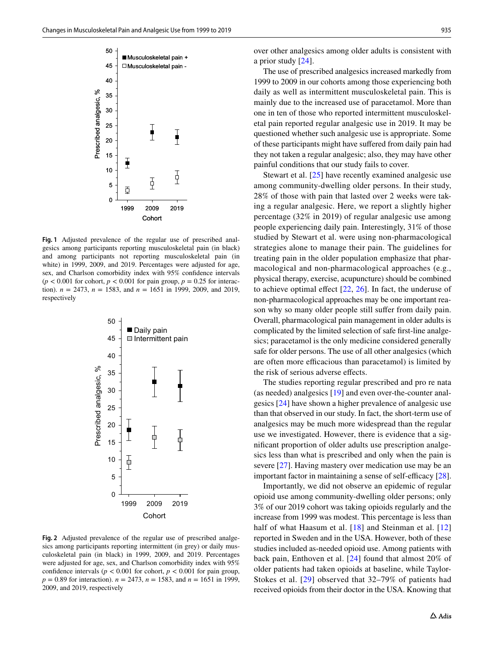

**Fig. 1** Adjusted prevalence of the regular use of prescribed analgesics among participants reporting musculoskeletal pain (in black) and among participants not reporting musculoskeletal pain (in white) in 1999, 2009, and 2019. Percentages were adjusted for age, sex, and Charlson comorbidity index with 95% confdence intervals  $(p < 0.001$  for cohort,  $p < 0.001$  for pain group,  $p = 0.25$  for interaction). *n* = 2473, *n* = 1583, and *n* = 1651 in 1999, 2009, and 2019, respectively



**Fig. 2** Adjusted prevalence of the regular use of prescribed analgesics among participants reporting intermittent (in grey) or daily musculoskeletal pain (in black) in 1999, 2009, and 2019. Percentages were adjusted for age, sex, and Charlson comorbidity index with 95% confidence intervals ( $p < 0.001$  for cohort,  $p < 0.001$  for pain group, *p* = 0.89 for interaction). *n* = 2473, *n* = 1583, and *n* = 1651 in 1999, 2009, and 2019, respectively

over other analgesics among older adults is consistent with a prior study [24].

The use of prescribed analgesics increased markedly from 1999 to 2009 in our cohorts among those experiencing both daily as well as intermittent musculoskeletal pain. This is mainly due to the increased use of paracetamol. More than one in ten of those who reported intermittent musculoskeletal pain reported regular analgesic use in 2019. It may be questioned whether such analgesic use is appropriate. Some of these participants might have sufered from daily pain had they not taken a regular analgesic; also, they may have other painful conditions that our study fails to cover.

Stewart et al. [25] have recently examined analgesic use among community-dwelling older persons. In their study, 28% of those with pain that lasted over 2 weeks were taking a regular analgesic. Here, we report a slightly higher percentage (32% in 2019) of regular analgesic use among people experiencing daily pain. Interestingly, 31% of those studied by Stewart et al. were using non-pharmacological strategies alone to manage their pain. The guidelines for treating pain in the older population emphasize that pharmacological and non-pharmacological approaches (e.g., physical therapy, exercise, acupuncture) should be combined to achieve optimal efect [22, 26]. In fact, the underuse of non-pharmacological approaches may be one important reason why so many older people still suffer from daily pain. Overall, pharmacological pain management in older adults is complicated by the limited selection of safe frst-line analgesics; paracetamol is the only medicine considered generally safe for older persons. The use of all other analgesics (which are often more efficacious than paracetamol) is limited by the risk of serious adverse efects.

The studies reporting regular prescribed and pro re nata (as needed) analgesics [19] and even over-the-counter analgesics [24] have shown a higher prevalence of analgesic use than that observed in our study. In fact, the short-term use of analgesics may be much more widespread than the regular use we investigated. However, there is evidence that a signifcant proportion of older adults use prescription analgesics less than what is prescribed and only when the pain is severe [27]. Having mastery over medication use may be an important factor in maintaining a sense of self-efficacy  $[28]$ .

Importantly, we did not observe an epidemic of regular opioid use among community-dwelling older persons; only 3% of our 2019 cohort was taking opioids regularly and the increase from 1999 was modest. This percentage is less than half of what Haasum et al. [18] and Steinman et al. [12] reported in Sweden and in the USA. However, both of these studies included as-needed opioid use. Among patients with back pain, Enthoven et al. [24] found that almost 20% of older patients had taken opioids at baseline, while Taylor-Stokes et al. [29] observed that 32–79% of patients had received opioids from their doctor in the USA. Knowing that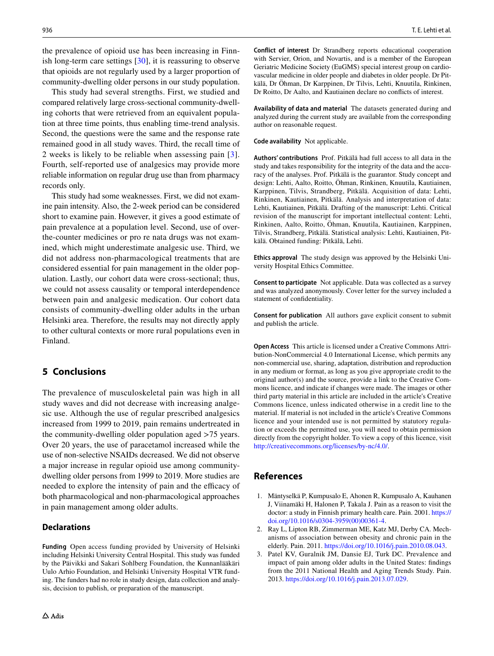the prevalence of opioid use has been increasing in Finnish long-term care settings  $[30]$ , it is reassuring to observe that opioids are not regularly used by a larger proportion of community-dwelling older persons in our study population.

This study had several strengths. First, we studied and compared relatively large cross-sectional community-dwelling cohorts that were retrieved from an equivalent population at three time points, thus enabling time-trend analysis. Second, the questions were the same and the response rate remained good in all study waves. Third, the recall time of 2 weeks is likely to be reliable when assessing pain [3]. Fourth, self-reported use of analgesics may provide more reliable information on regular drug use than from pharmacy records only.

This study had some weaknesses. First, we did not examine pain intensity. Also, the 2-week period can be considered short to examine pain. However, it gives a good estimate of pain prevalence at a population level. Second, use of overthe-counter medicines or pro re nata drugs was not examined, which might underestimate analgesic use. Third, we did not address non-pharmacological treatments that are considered essential for pain management in the older population. Lastly, our cohort data were cross-sectional; thus, we could not assess causality or temporal interdependence between pain and analgesic medication. Our cohort data consists of community-dwelling older adults in the urban Helsinki area. Therefore, the results may not directly apply to other cultural contexts or more rural populations even in Finland.

# **5 Conclusions**

The prevalence of musculoskeletal pain was high in all study waves and did not decrease with increasing analgesic use. Although the use of regular prescribed analgesics increased from 1999 to 2019, pain remains undertreated in the community-dwelling older population aged >75 years. Over 20 years, the use of paracetamol increased while the use of non-selective NSAIDs decreased. We did not observe a major increase in regular opioid use among communitydwelling older persons from 1999 to 2019. More studies are needed to explore the intensity of pain and the efficacy of both pharmacological and non-pharmacological approaches in pain management among older adults.

## **Declarations**

**Funding** Open access funding provided by University of Helsinki including Helsinki University Central Hospital. This study was funded by the Päivikki and Sakari Sohlberg Foundation, the Kunnanlääkäri Uulo Arhio Foundation, and Helsinki University Hospital VTR funding. The funders had no role in study design, data collection and analysis, decision to publish, or preparation of the manuscript.

**Conflict of interest** Dr Strandberg reports educational cooperation with Servier, Orion, and Novartis, and is a member of the European Geriatric Medicine Society (EuGMS) special interest group on cardiovascular medicine in older people and diabetes in older people. Dr Pitkälä, Dr Öhman, Dr Karppinen, Dr Tilvis, Lehti, Knuutila, Rinkinen, Dr Roitto, Dr Aalto, and Kautiainen declare no conficts of interest.

**Availability of data and material** The datasets generated during and analyzed during the current study are available from the corresponding author on reasonable request.

**Code availability** Not applicable.

**Authors' contributions** Prof. Pitkälä had full access to all data in the study and takes responsibility for the integrity of the data and the accuracy of the analyses. Prof. Pitkälä is the guarantor. Study concept and design: Lehti, Aalto, Roitto, Öhman, Rinkinen, Knuutila, Kautiainen, Karppinen, Tilvis, Strandberg, Pitkälä. Acquisition of data: Lehti, Rinkinen, Kautiainen, Pitkälä. Analysis and interpretation of data: Lehti, Kautiainen, Pitkälä. Drafting of the manuscript: Lehti. Critical revision of the manuscript for important intellectual content: Lehti, Rinkinen, Aalto, Roitto, Öhman, Knuutila, Kautiainen, Karppinen, Tilvis, Strandberg, Pitkälä. Statistical analysis: Lehti, Kautiainen, Pitkälä. Obtained funding: Pitkälä, Lehti.

**Ethics approval** The study design was approved by the Helsinki University Hospital Ethics Committee.

**Consent to participate** Not applicable. Data was collected as a survey and was analyzed anonymously. Cover letter for the survey included a statement of confdentiality.

**Consent for publication** All authors gave explicit consent to submit and publish the article.

**Open Access** This article is licensed under a Creative Commons Attribution-NonCommercial 4.0 International License, which permits any non-commercial use, sharing, adaptation, distribution and reproduction in any medium or format, as long as you give appropriate credit to the original author(s) and the source, provide a link to the Creative Commons licence, and indicate if changes were made. The images or other third party material in this article are included in the article's Creative Commons licence, unless indicated otherwise in a credit line to the material. If material is not included in the article's Creative Commons licence and your intended use is not permitted by statutory regulation or exceeds the permitted use, you will need to obtain permission directly from the copyright holder. To view a copy of this licence, visit <http://creativecommons.org/licenses/by-nc/4.0/>.

## **References**

- 1. Mäntyselkä P, Kumpusalo E, Ahonen R, Kumpusalo A, Kauhanen J, Viinamäki H, Halonen P, Takala J. Pain as a reason to visit the doctor: a study in Finnish primary health care. Pain. 2001. [https://](https://doi.org/10.1016/s0304-3959(00)00361-4) [doi.org/10.1016/s0304-3959\(00\)00361-4.](https://doi.org/10.1016/s0304-3959(00)00361-4)
- 2. Ray L, Lipton RB, Zimmerman ME, Katz MJ, Derby CA. Mechanisms of association between obesity and chronic pain in the elderly. Pain. 2011. [https://doi.org/10.1016/j.pain.2010.08.043.](https://doi.org/10.1016/j.pain.2010.08.043)
- 3. Patel KV, Guralnik JM, Dansie EJ, Turk DC. Prevalence and impact of pain among older adults in the United States: fndings from the 2011 National Health and Aging Trends Study. Pain. 2013. <https://doi.org/10.1016/j.pain.2013.07.029>.